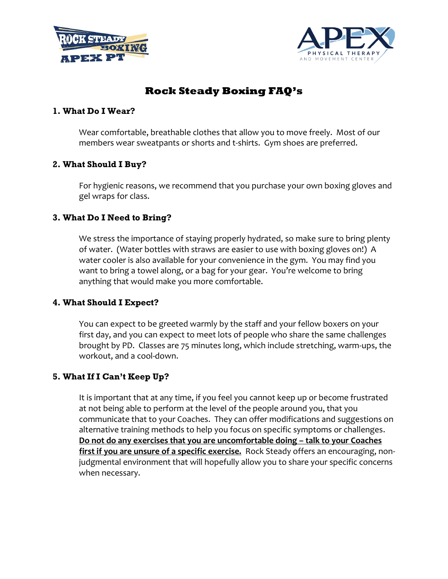



# **Rock Steady Boxing FAQ's**

### **1. What Do I Wear?**

Wear comfortable, breathable clothes that allow you to move freely. Most of our members wear sweatpants or shorts and t-shirts. Gym shoes are preferred.

# **2. What Should I Buy?**

For hygienic reasons, we recommend that you purchase your own boxing gloves and gel wraps for class.

# **3. What Do I Need to Bring?**

We stress the importance of staying properly hydrated, so make sure to bring plenty of water. (Water bottles with straws are easier to use with boxing gloves on!) A water cooler is also available for your convenience in the gym. You may find you want to bring a towel along, or a bag for your gear. You're welcome to bring anything that would make you more comfortable.

### **4. What Should I Expect?**

You can expect to be greeted warmly by the staff and your fellow boxers on your first day, and you can expect to meet lots of people who share the same challenges brought by PD. Classes are 75 minutes long, which include stretching, warm-ups, the workout, and a cool-down.

# **5. What If I Can't Keep Up?**

It is important that at any time, if you feel you cannot keep up or become frustrated at not being able to perform at the level of the people around you, that you communicate that to your Coaches. They can offer modifications and suggestions on alternative training methods to help you focus on specific symptoms or challenges. **Do not do any exercises that you are uncomfortable doing – talk to your Coaches first if you are unsure of a specific exercise.** Rock Steady offers an encouraging, nonjudgmental environment that will hopefully allow you to share your specific concerns when necessary.